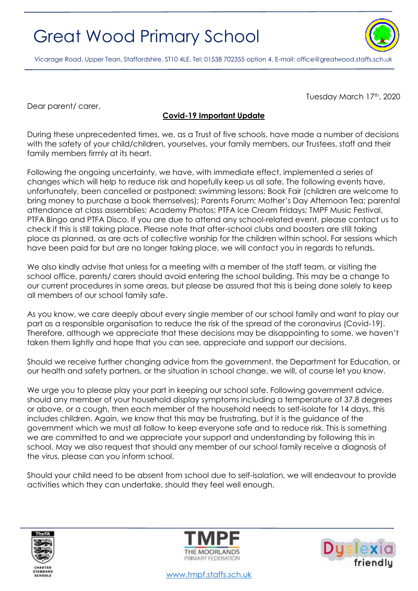## Great Wood Primary School



Vicarage Road, Upper Tean, Staffordshire, ST10 4LE. Tel: 01538 702355 option 4. E-mail[: office@greatwood.staffs.sch.uk](mailto:office@greatwood.staffs.sch.uk)

Tuesday March 17th, 2020

Dear parent/ carer,

## **Covid-19 Important Update**

During these unprecedented times, we, as a Trust of five schools, have made a number of decisions with the safety of your child/children, yourselves, your family members, our Trustees, staff and their family members firmly at its heart.

Following the ongoing uncertainty, we have, with immediate effect, implemented a series of changes which will help to reduce risk and hopefully keep us all safe. The following events have, unfortunately, been cancelled or postponed: swimming lessons; Book Fair (children are welcome to bring money to purchase a book themselves); Parents Forum; Mother's Day Afternoon Tea; parental attendance at class assemblies; Academy Photos; PTFA Ice Cream Fridays; TMPF Music Festival, PTFA Bingo and PTFA Disco. If you are due to attend any school-related event, please contact us to check if this is still taking place. Please note that after-school clubs and boosters are still taking place as planned, as are acts of collective worship for the children within school. For sessions which have been paid for but are no longer taking place, we will contact you in regards to refunds.

We also kindly advise that unless for a meeting with a member of the staff team, or visiting the school office, parents/ carers should avoid entering the school building. This may be a change to our current procedures in some areas, but please be assured that this is being done solely to keep all members of our school family safe.

As you know, we care deeply about every single member of our school family and want to play our part as a responsible organisation to reduce the risk of the spread of the coronavirus (Covid-19). Therefore, although we appreciate that these decisions may be disappointing to some, we haven't taken them lightly and hope that you can see, appreciate and support our decisions.

Should we receive further changing advice from the government, the Department for Education, or our health and safety partners, or the situation in school change, we will, of course let you know.

We urge you to please play your part in keeping our school safe. Following government advice, should any member of your household display symptoms including a temperature of 37.8 degrees or above, or a cough, then each member of the household needs to self-isolate for 14 days, this includes children. Again, we know that this may be frustrating, but it is the guidance of the government which we must all follow to keep everyone safe and to reduce risk. This is something we are committed to and we appreciate your support and understanding by following this in school. May we also request that should any member of our school family receive a diagnosis of the virus, please can you inform school.

Should your child need to be absent from school due to self-isolation, we will endeavour to provide activities which they can undertake, should they feel well enough.







[www.tmpf.staffs.sch.uk](http://www.tmpf.staffs.sch.uk/)